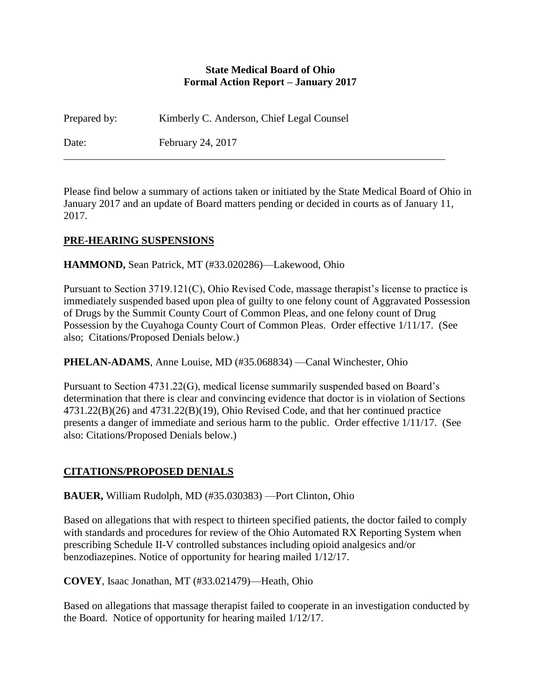#### **State Medical Board of Ohio Formal Action Report – January 2017**

Prepared by: Kimberly C. Anderson, Chief Legal Counsel Date: February 24, 2017

Please find below a summary of actions taken or initiated by the State Medical Board of Ohio in January 2017 and an update of Board matters pending or decided in courts as of January 11, 2017.

## **PRE-HEARING SUSPENSIONS**

**HAMMOND,** Sean Patrick, MT (#33.020286)—Lakewood, Ohio

Pursuant to Section 3719.121(C), Ohio Revised Code, massage therapist's license to practice is immediately suspended based upon plea of guilty to one felony count of Aggravated Possession of Drugs by the Summit County Court of Common Pleas, and one felony count of Drug Possession by the Cuyahoga County Court of Common Pleas. Order effective 1/11/17. (See also; Citations/Proposed Denials below.)

**PHELAN-ADAMS**, Anne Louise, MD (#35.068834) —Canal Winchester, Ohio

Pursuant to Section 4731.22(G), medical license summarily suspended based on Board's determination that there is clear and convincing evidence that doctor is in violation of Sections 4731.22(B)(26) and 4731.22(B)(19), Ohio Revised Code, and that her continued practice presents a danger of immediate and serious harm to the public. Order effective 1/11/17. (See also: Citations/Proposed Denials below.)

## **CITATIONS/PROPOSED DENIALS**

**BAUER,** William Rudolph, MD (#35.030383) —Port Clinton, Ohio

Based on allegations that with respect to thirteen specified patients, the doctor failed to comply with standards and procedures for review of the Ohio Automated RX Reporting System when prescribing Schedule II-V controlled substances including opioid analgesics and/or benzodiazepines. Notice of opportunity for hearing mailed 1/12/17.

**COVEY**, Isaac Jonathan, MT (#33.021479)—Heath, Ohio

Based on allegations that massage therapist failed to cooperate in an investigation conducted by the Board. Notice of opportunity for hearing mailed 1/12/17.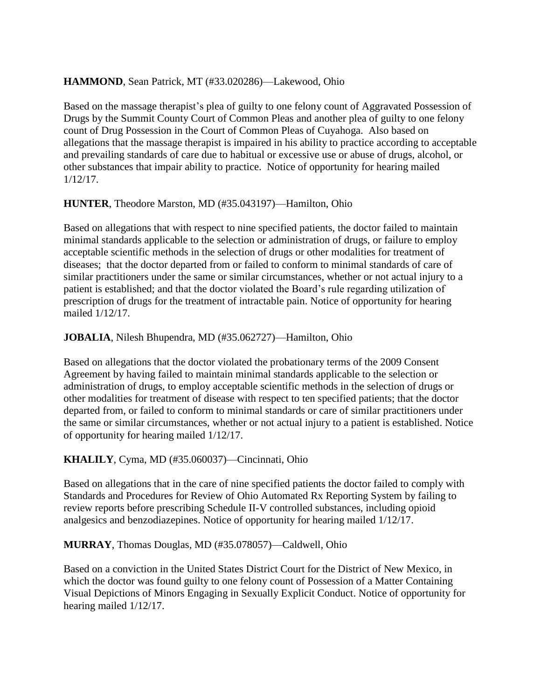# **HAMMOND**, Sean Patrick, MT (#33.020286)—Lakewood, Ohio

Based on the massage therapist's plea of guilty to one felony count of Aggravated Possession of Drugs by the Summit County Court of Common Pleas and another plea of guilty to one felony count of Drug Possession in the Court of Common Pleas of Cuyahoga. Also based on allegations that the massage therapist is impaired in his ability to practice according to acceptable and prevailing standards of care due to habitual or excessive use or abuse of drugs, alcohol, or other substances that impair ability to practice. Notice of opportunity for hearing mailed 1/12/17.

## **HUNTER**, Theodore Marston, MD (#35.043197)—Hamilton, Ohio

Based on allegations that with respect to nine specified patients, the doctor failed to maintain minimal standards applicable to the selection or administration of drugs, or failure to employ acceptable scientific methods in the selection of drugs or other modalities for treatment of diseases; that the doctor departed from or failed to conform to minimal standards of care of similar practitioners under the same or similar circumstances, whether or not actual injury to a patient is established; and that the doctor violated the Board's rule regarding utilization of prescription of drugs for the treatment of intractable pain. Notice of opportunity for hearing mailed 1/12/17.

# **JOBALIA**, Nilesh Bhupendra, MD (#35.062727)—Hamilton, Ohio

Based on allegations that the doctor violated the probationary terms of the 2009 Consent Agreement by having failed to maintain minimal standards applicable to the selection or administration of drugs, to employ acceptable scientific methods in the selection of drugs or other modalities for treatment of disease with respect to ten specified patients; that the doctor departed from, or failed to conform to minimal standards or care of similar practitioners under the same or similar circumstances, whether or not actual injury to a patient is established. Notice of opportunity for hearing mailed 1/12/17.

# **KHALILY**, Cyma, MD (#35.060037)—Cincinnati, Ohio

Based on allegations that in the care of nine specified patients the doctor failed to comply with Standards and Procedures for Review of Ohio Automated Rx Reporting System by failing to review reports before prescribing Schedule II-V controlled substances, including opioid analgesics and benzodiazepines. Notice of opportunity for hearing mailed 1/12/17.

## **MURRAY**, Thomas Douglas, MD (#35.078057)—Caldwell, Ohio

Based on a conviction in the United States District Court for the District of New Mexico, in which the doctor was found guilty to one felony count of Possession of a Matter Containing Visual Depictions of Minors Engaging in Sexually Explicit Conduct. Notice of opportunity for hearing mailed 1/12/17.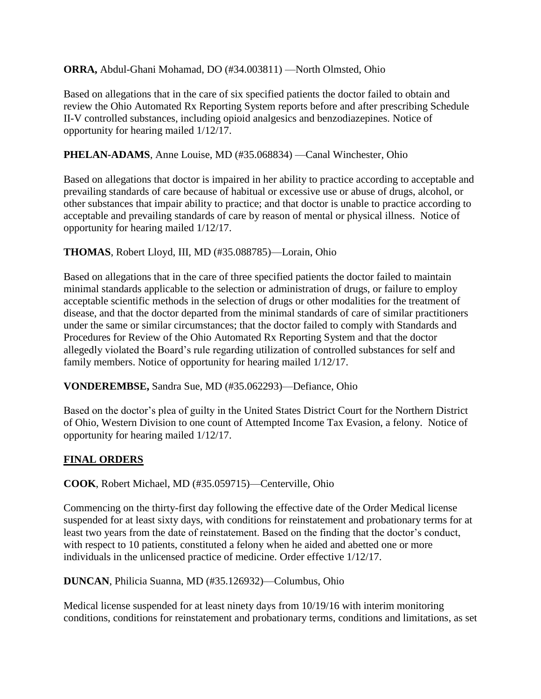#### **ORRA,** Abdul-Ghani Mohamad, DO (#34.003811) —North Olmsted, Ohio

Based on allegations that in the care of six specified patients the doctor failed to obtain and review the Ohio Automated Rx Reporting System reports before and after prescribing Schedule II-V controlled substances, including opioid analgesics and benzodiazepines. Notice of opportunity for hearing mailed 1/12/17.

#### **PHELAN-ADAMS**, Anne Louise, MD (#35.068834) —Canal Winchester, Ohio

Based on allegations that doctor is impaired in her ability to practice according to acceptable and prevailing standards of care because of habitual or excessive use or abuse of drugs, alcohol, or other substances that impair ability to practice; and that doctor is unable to practice according to acceptable and prevailing standards of care by reason of mental or physical illness. Notice of opportunity for hearing mailed 1/12/17.

#### **THOMAS**, Robert Lloyd, III, MD (#35.088785)—Lorain, Ohio

Based on allegations that in the care of three specified patients the doctor failed to maintain minimal standards applicable to the selection or administration of drugs, or failure to employ acceptable scientific methods in the selection of drugs or other modalities for the treatment of disease, and that the doctor departed from the minimal standards of care of similar practitioners under the same or similar circumstances; that the doctor failed to comply with Standards and Procedures for Review of the Ohio Automated Rx Reporting System and that the doctor allegedly violated the Board's rule regarding utilization of controlled substances for self and family members. Notice of opportunity for hearing mailed 1/12/17.

#### **VONDEREMBSE,** Sandra Sue, MD (#35.062293)—Defiance, Ohio

Based on the doctor's plea of guilty in the United States District Court for the Northern District of Ohio, Western Division to one count of Attempted Income Tax Evasion, a felony. Notice of opportunity for hearing mailed 1/12/17.

#### **FINAL ORDERS**

**COOK**, Robert Michael, MD (#35.059715)—Centerville, Ohio

Commencing on the thirty-first day following the effective date of the Order Medical license suspended for at least sixty days, with conditions for reinstatement and probationary terms for at least two years from the date of reinstatement. Based on the finding that the doctor's conduct, with respect to 10 patients, constituted a felony when he aided and abetted one or more individuals in the unlicensed practice of medicine. Order effective 1/12/17.

**DUNCAN**, Philicia Suanna, MD (#35.126932)—Columbus, Ohio

Medical license suspended for at least ninety days from 10/19/16 with interim monitoring conditions, conditions for reinstatement and probationary terms, conditions and limitations, as set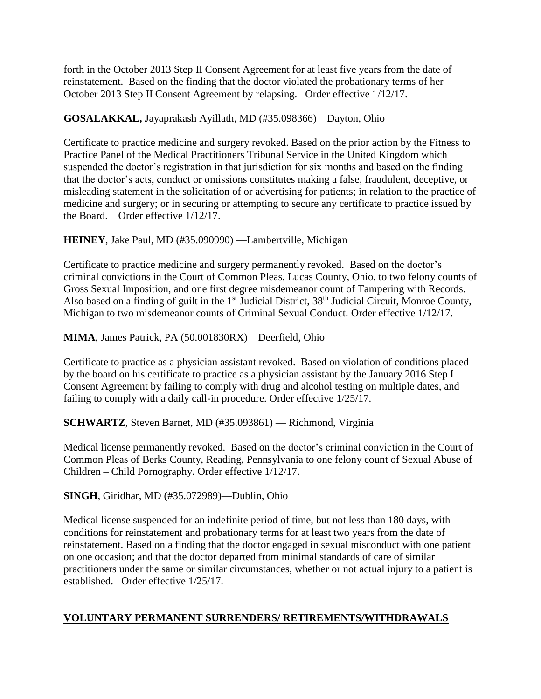forth in the October 2013 Step II Consent Agreement for at least five years from the date of reinstatement. Based on the finding that the doctor violated the probationary terms of her October 2013 Step II Consent Agreement by relapsing. Order effective 1/12/17.

# **GOSALAKKAL,** Jayaprakash Ayillath, MD (#35.098366)—Dayton, Ohio

Certificate to practice medicine and surgery revoked. Based on the prior action by the Fitness to Practice Panel of the Medical Practitioners Tribunal Service in the United Kingdom which suspended the doctor's registration in that jurisdiction for six months and based on the finding that the doctor's acts, conduct or omissions constitutes making a false, fraudulent, deceptive, or misleading statement in the solicitation of or advertising for patients; in relation to the practice of medicine and surgery; or in securing or attempting to secure any certificate to practice issued by the Board. Order effective 1/12/17.

## **HEINEY**, Jake Paul, MD (#35.090990) —Lambertville, Michigan

Certificate to practice medicine and surgery permanently revoked. Based on the doctor's criminal convictions in the Court of Common Pleas, Lucas County, Ohio, to two felony counts of Gross Sexual Imposition, and one first degree misdemeanor count of Tampering with Records. Also based on a finding of guilt in the 1<sup>st</sup> Judicial District, 38<sup>th</sup> Judicial Circuit, Monroe County, Michigan to two misdemeanor counts of Criminal Sexual Conduct. Order effective  $1/12/17$ .

## **MIMA**, James Patrick, PA (50.001830RX)—Deerfield, Ohio

Certificate to practice as a physician assistant revoked. Based on violation of conditions placed by the board on his certificate to practice as a physician assistant by the January 2016 Step I Consent Agreement by failing to comply with drug and alcohol testing on multiple dates, and failing to comply with a daily call-in procedure. Order effective 1/25/17.

## **SCHWARTZ**, Steven Barnet, MD (#35.093861) — Richmond, Virginia

Medical license permanently revoked. Based on the doctor's criminal conviction in the Court of Common Pleas of Berks County, Reading, Pennsylvania to one felony count of Sexual Abuse of Children – Child Pornography. Order effective 1/12/17.

**SINGH**, Giridhar, MD (#35.072989)—Dublin, Ohio

Medical license suspended for an indefinite period of time, but not less than 180 days, with conditions for reinstatement and probationary terms for at least two years from the date of reinstatement. Based on a finding that the doctor engaged in sexual misconduct with one patient on one occasion; and that the doctor departed from minimal standards of care of similar practitioners under the same or similar circumstances, whether or not actual injury to a patient is established. Order effective 1/25/17.

## **VOLUNTARY PERMANENT SURRENDERS/ RETIREMENTS/WITHDRAWALS**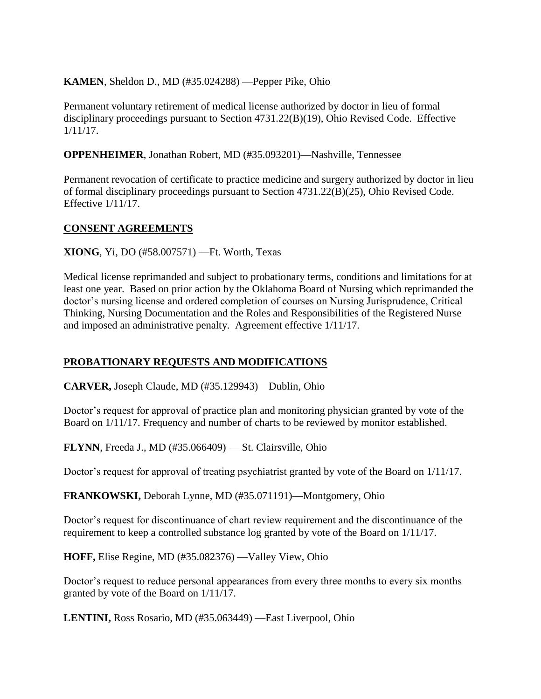## **KAMEN**, Sheldon D., MD (#35.024288) —Pepper Pike, Ohio

Permanent voluntary retirement of medical license authorized by doctor in lieu of formal disciplinary proceedings pursuant to Section 4731.22(B)(19), Ohio Revised Code. Effective 1/11/17.

#### **OPPENHEIMER**, Jonathan Robert, MD (#35.093201)—Nashville, Tennessee

Permanent revocation of certificate to practice medicine and surgery authorized by doctor in lieu of formal disciplinary proceedings pursuant to Section 4731.22(B)(25), Ohio Revised Code. Effective 1/11/17.

#### **CONSENT AGREEMENTS**

**XIONG**, Yi, DO (#58.007571) —Ft. Worth, Texas

Medical license reprimanded and subject to probationary terms, conditions and limitations for at least one year. Based on prior action by the Oklahoma Board of Nursing which reprimanded the doctor's nursing license and ordered completion of courses on Nursing Jurisprudence, Critical Thinking, Nursing Documentation and the Roles and Responsibilities of the Registered Nurse and imposed an administrative penalty. Agreement effective 1/11/17.

## **PROBATIONARY REQUESTS AND MODIFICATIONS**

**CARVER,** Joseph Claude, MD (#35.129943)—Dublin, Ohio

Doctor's request for approval of practice plan and monitoring physician granted by vote of the Board on 1/11/17. Frequency and number of charts to be reviewed by monitor established.

**FLYNN**, Freeda J., MD (#35.066409) — St. Clairsville, Ohio

Doctor's request for approval of treating psychiatrist granted by vote of the Board on 1/11/17.

**FRANKOWSKI,** Deborah Lynne, MD (#35.071191)—Montgomery, Ohio

Doctor's request for discontinuance of chart review requirement and the discontinuance of the requirement to keep a controlled substance log granted by vote of the Board on 1/11/17.

**HOFF,** Elise Regine, MD (#35.082376) —Valley View, Ohio

Doctor's request to reduce personal appearances from every three months to every six months granted by vote of the Board on 1/11/17.

**LENTINI,** Ross Rosario, MD (#35.063449) —East Liverpool, Ohio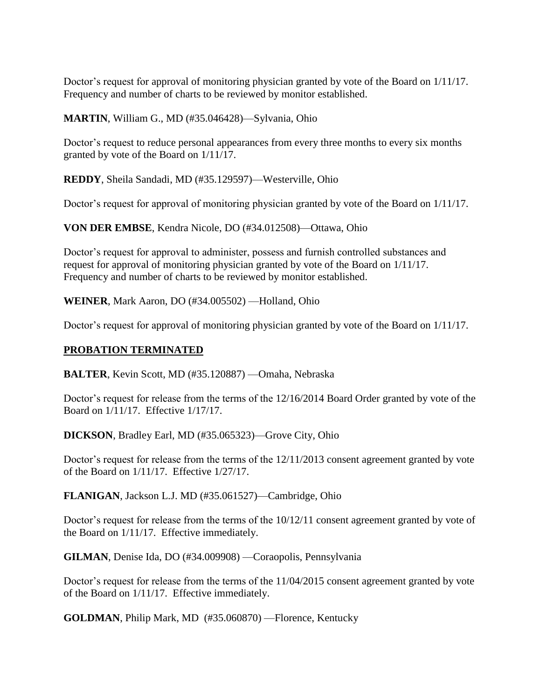Doctor's request for approval of monitoring physician granted by vote of the Board on 1/11/17. Frequency and number of charts to be reviewed by monitor established.

**MARTIN**, William G., MD (#35.046428)—Sylvania, Ohio

Doctor's request to reduce personal appearances from every three months to every six months granted by vote of the Board on 1/11/17.

**REDDY**, Sheila Sandadi, MD (#35.129597)—Westerville, Ohio

Doctor's request for approval of monitoring physician granted by vote of the Board on 1/11/17.

**VON DER EMBSE**, Kendra Nicole, DO (#34.012508)—Ottawa, Ohio

Doctor's request for approval to administer, possess and furnish controlled substances and request for approval of monitoring physician granted by vote of the Board on 1/11/17. Frequency and number of charts to be reviewed by monitor established.

**WEINER**, Mark Aaron, DO (#34.005502) —Holland, Ohio

Doctor's request for approval of monitoring physician granted by vote of the Board on 1/11/17.

#### **PROBATION TERMINATED**

**BALTER**, Kevin Scott, MD (#35.120887) —Omaha, Nebraska

Doctor's request for release from the terms of the 12/16/2014 Board Order granted by vote of the Board on 1/11/17. Effective 1/17/17.

**DICKSON**, Bradley Earl, MD (#35.065323)—Grove City, Ohio

Doctor's request for release from the terms of the 12/11/2013 consent agreement granted by vote of the Board on 1/11/17. Effective 1/27/17.

**FLANIGAN**, Jackson L.J. MD (#35.061527)—Cambridge, Ohio

Doctor's request for release from the terms of the 10/12/11 consent agreement granted by vote of the Board on 1/11/17. Effective immediately.

**GILMAN**, Denise Ida, DO (#34.009908) —Coraopolis, Pennsylvania

Doctor's request for release from the terms of the 11/04/2015 consent agreement granted by vote of the Board on 1/11/17. Effective immediately.

**GOLDMAN**, Philip Mark, MD (#35.060870) —Florence, Kentucky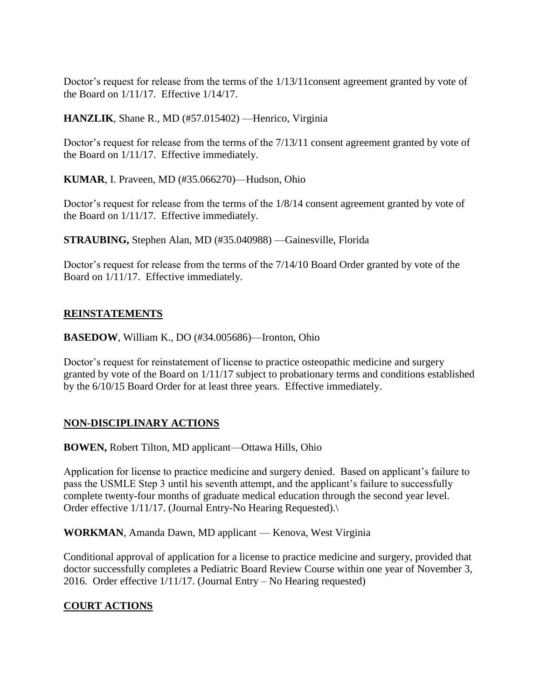Doctor's request for release from the terms of the 1/13/11consent agreement granted by vote of the Board on 1/11/17. Effective 1/14/17.

**HANZLIK**, Shane R., MD (#57.015402) — Henrico, Virginia

Doctor's request for release from the terms of the 7/13/11 consent agreement granted by vote of the Board on 1/11/17. Effective immediately.

**KUMAR**, I. Praveen, MD (#35.066270)—Hudson, Ohio

Doctor's request for release from the terms of the 1/8/14 consent agreement granted by vote of the Board on 1/11/17. Effective immediately.

**STRAUBING,** Stephen Alan, MD (#35.040988) —Gainesville, Florida

Doctor's request for release from the terms of the 7/14/10 Board Order granted by vote of the Board on 1/11/17. Effective immediately.

#### **REINSTATEMENTS**

**BASEDOW**, William K., DO (#34.005686)—Ironton, Ohio

Doctor's request for reinstatement of license to practice osteopathic medicine and surgery granted by vote of the Board on 1/11/17 subject to probationary terms and conditions established by the 6/10/15 Board Order for at least three years. Effective immediately.

## **NON-DISCIPLINARY ACTIONS**

**BOWEN,** Robert Tilton, MD applicant—Ottawa Hills, Ohio

Application for license to practice medicine and surgery denied. Based on applicant's failure to pass the USMLE Step 3 until his seventh attempt, and the applicant's failure to successfully complete twenty-four months of graduate medical education through the second year level. Order effective 1/11/17. (Journal Entry-No Hearing Requested).

**WORKMAN**, Amanda Dawn, MD applicant — Kenova, West Virginia

Conditional approval of application for a license to practice medicine and surgery, provided that doctor successfully completes a Pediatric Board Review Course within one year of November 3, 2016. Order effective 1/11/17. (Journal Entry – No Hearing requested)

## **COURT ACTIONS**